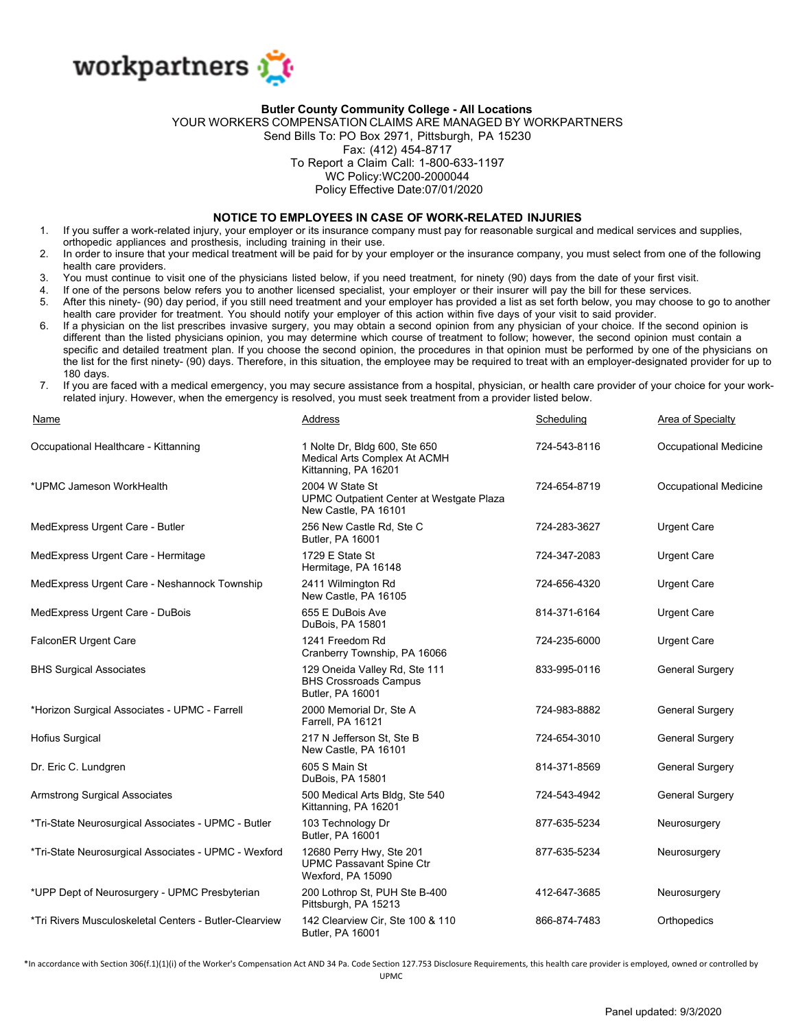

## **Butler County Community College - All Locations**

YOUR WORKERS COMPENSATION CLAIMS ARE MANAGED BY WORKPARTNERS

Send Bills To: PO Box 2971, Pittsburgh, PA 15230

## Fax: (412) 454-8717

To Report a Claim Call: 1-800-633-1197

WC Policy:WC200-2000044

Policy Effective Date:07/01/2020

## **NOTICE TO EMPLOYEES IN CASE OF WORK-RELATED INJURIES**

- 1. If you suffer a work-related injury, your employer or its insurance company must pay for reasonable surgical and medical services and supplies, orthopedic appliances and prosthesis, including training in their use.
- 2. In order to insure that your medical treatment will be paid for by your employer or the insurance company, you must select from one of the following health care providers.
- 3. You must continue to visit one of the physicians listed below, if you need treatment, for ninety (90) days from the date of your first visit.
- 4. If one of the persons below refers you to another licensed specialist, your employer or their insurer will pay the bill for these services. 5. After this ninety- (90) day period, if you still need treatment and your employer has provided a list as set forth below, you may choose to go to another
- health care provider for treatment. You should notify your employer of this action within five days of your visit to said provider. 6. If a physician on the list prescribes invasive surgery, you may obtain a second opinion from any physician of your choice. If the second opinion is
- different than the listed physicians opinion, you may determine which course of treatment to follow; however, the second opinion must contain a specific and detailed treatment plan. If you choose the second opinion, the procedures in that opinion must be performed by one of the physicians on the list for the first ninety- (90) days. Therefore, in this situation, the employee may be required to treat with an employer-designated provider for up to 180 days.
- 7. If you are faced with a medical emergency, you may secure assistance from a hospital, physician, or health care provider of your choice for your workrelated injury. However, when the emergency is resolved, you must seek treatment from a provider listed below.

| Name                                                   | Address                                                                               | Scheduling   | Area of Specialty      |
|--------------------------------------------------------|---------------------------------------------------------------------------------------|--------------|------------------------|
| Occupational Healthcare - Kittanning                   | 1 Nolte Dr, Bldg 600, Ste 650<br>Medical Arts Complex At ACMH<br>Kittanning, PA 16201 | 724-543-8116 | Occupational Medicine  |
| *UPMC Jameson WorkHealth                               | 2004 W State St<br>UPMC Outpatient Center at Westgate Plaza<br>New Castle, PA 16101   | 724-654-8719 | Occupational Medicine  |
| MedExpress Urgent Care - Butler                        | 256 New Castle Rd, Ste C<br>Butler, PA 16001                                          | 724-283-3627 | <b>Urgent Care</b>     |
| MedExpress Urgent Care - Hermitage                     | 1729 E State St<br>Hermitage, PA 16148                                                | 724-347-2083 | <b>Urgent Care</b>     |
| MedExpress Urgent Care - Neshannock Township           | 2411 Wilmington Rd<br>New Castle, PA 16105                                            | 724-656-4320 | <b>Urgent Care</b>     |
| MedExpress Urgent Care - DuBois                        | 655 E DuBois Ave<br>DuBois, PA 15801                                                  | 814-371-6164 | <b>Urgent Care</b>     |
| <b>FalconER Urgent Care</b>                            | 1241 Freedom Rd<br>Cranberry Township, PA 16066                                       | 724-235-6000 | <b>Urgent Care</b>     |
| <b>BHS Surgical Associates</b>                         | 129 Oneida Valley Rd, Ste 111<br><b>BHS Crossroads Campus</b><br>Butler, PA 16001     | 833-995-0116 | <b>General Surgery</b> |
| *Horizon Surgical Associates - UPMC - Farrell          | 2000 Memorial Dr, Ste A<br>Farrell, PA 16121                                          | 724-983-8882 | <b>General Surgery</b> |
| <b>Hofius Surgical</b>                                 | 217 N Jefferson St, Ste B<br>New Castle, PA 16101                                     | 724-654-3010 | <b>General Surgery</b> |
| Dr. Eric C. Lundgren                                   | 605 S Main St<br>DuBois, PA 15801                                                     | 814-371-8569 | <b>General Surgery</b> |
| <b>Armstrong Surgical Associates</b>                   | 500 Medical Arts Bldg, Ste 540<br>Kittanning, PA 16201                                | 724-543-4942 | <b>General Surgery</b> |
| *Tri-State Neurosurgical Associates - UPMC - Butler    | 103 Technology Dr<br><b>Butler, PA 16001</b>                                          | 877-635-5234 | Neurosurgery           |
| *Tri-State Neurosurgical Associates - UPMC - Wexford   | 12680 Perry Hwy, Ste 201<br><b>UPMC Passavant Spine Ctr</b><br>Wexford, PA 15090      | 877-635-5234 | Neurosurgery           |
| *UPP Dept of Neurosurgery - UPMC Presbyterian          | 200 Lothrop St, PUH Ste B-400<br>Pittsburgh, PA 15213                                 | 412-647-3685 | Neurosurgery           |
| *Tri Rivers Musculoskeletal Centers - Butler-Clearview | 142 Clearview Cir, Ste 100 & 110<br><b>Butler, PA 16001</b>                           | 866-874-7483 | Orthopedics            |

\*In accordance with Section 306(f.1)(1)(i) of the Worker's Compensation Act AND 34 Pa. Code Section 127.753 Disclosure Requirements, this health care provider is employed, owned or controlled by